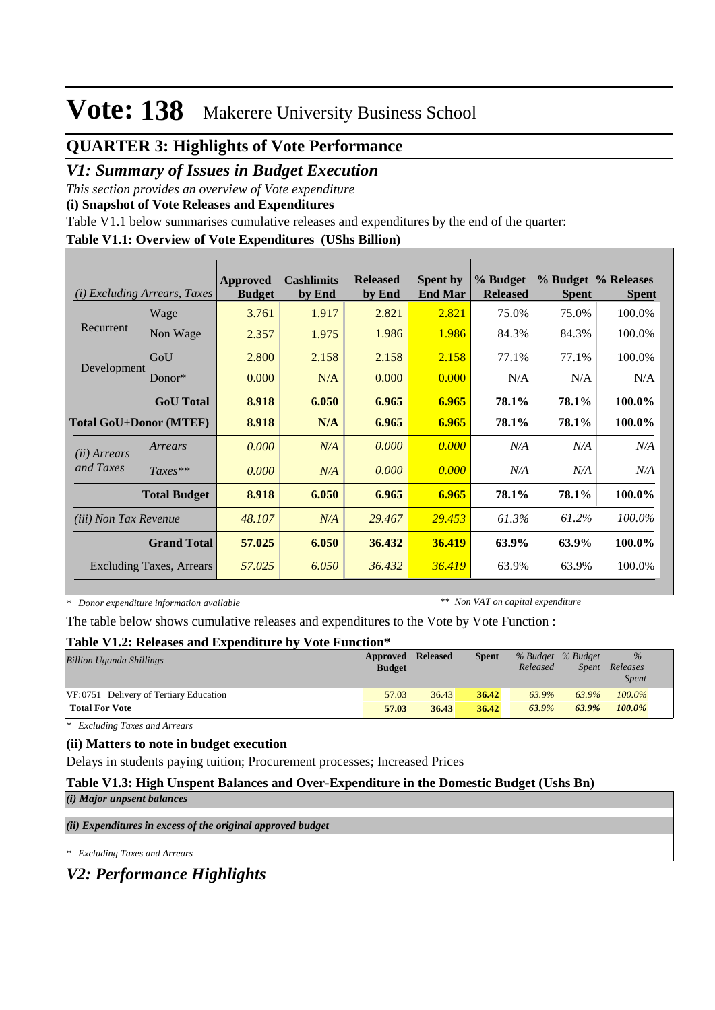# **QUARTER 3: Highlights of Vote Performance**

### *V1: Summary of Issues in Budget Execution*

*This section provides an overview of Vote expenditure* 

**(i) Snapshot of Vote Releases and Expenditures**

Table V1.1 below summarises cumulative releases and expenditures by the end of the quarter:

#### **Table V1.1: Overview of Vote Expenditures (UShs Billion)**

| (i)                           | <i>Excluding Arrears, Taxes</i> | Approved<br><b>Budget</b> | <b>Cashlimits</b><br>by End | <b>Released</b><br>by End | <b>Spent by</b><br><b>End Mar</b> | % Budget<br><b>Released</b> | <b>Spent</b> | % Budget % Releases<br><b>Spent</b> |
|-------------------------------|---------------------------------|---------------------------|-----------------------------|---------------------------|-----------------------------------|-----------------------------|--------------|-------------------------------------|
|                               | Wage                            | 3.761                     | 1.917                       | 2.821                     | 2.821                             | 75.0%                       | 75.0%        | 100.0%                              |
| Recurrent                     | Non Wage                        | 2.357                     | 1.975                       | 1.986                     | 1.986                             | 84.3%                       | 84.3%        | 100.0%                              |
|                               | GoU                             | 2.800                     | 2.158                       | 2.158                     | 2.158                             | 77.1%                       | 77.1%        | 100.0%                              |
| Development                   | Donor $*$                       | 0.000                     | N/A                         | 0.000                     | 0.000                             | N/A                         | N/A          | N/A                                 |
|                               | <b>GoU</b> Total                | 8.918                     | 6.050                       | 6.965                     | 6.965                             | 78.1%                       | 78.1%        | 100.0%                              |
| <b>Total GoU+Donor (MTEF)</b> |                                 | 8.918                     | N/A                         | 6.965                     | 6.965                             | 78.1%                       | 78.1%        | 100.0%                              |
| ( <i>ii</i> ) Arrears         | Arrears                         | 0.000                     | N/A                         | 0.000                     | 0.000                             | N/A                         | N/A          | N/A                                 |
| and Taxes                     | $Taxes**$                       | 0.000                     | N/A                         | 0.000                     | 0.000                             | N/A                         | N/A          | N/A                                 |
|                               | <b>Total Budget</b>             | 8.918                     | 6.050                       | 6.965                     | 6.965                             | 78.1%                       | 78.1%        | 100.0%                              |
| <i>(iii)</i> Non Tax Revenue  |                                 | 48.107                    | N/A                         | 29.467                    | 29.453                            | 61.3%                       | 61.2%        | 100.0%                              |
|                               | <b>Grand Total</b>              | 57.025                    | 6.050                       | 36.432                    | 36.419                            | 63.9%                       | 63.9%        | 100.0%                              |
|                               | Excluding Taxes, Arrears        | 57.025                    | 6.050                       | 36.432                    | 36.419                            | 63.9%                       | 63.9%        | 100.0%                              |

*\* Donor expenditure information available*

*\*\* Non VAT on capital expenditure*

The table below shows cumulative releases and expenditures to the Vote by Vote Function :

#### **Table V1.2: Releases and Expenditure by Vote Function\***

| <b>Billion Uganda Shillings</b>        | Approved Released<br><b>Budget</b> |       | <b>Spent</b> | % Budget % Budget<br>Released | Spent | $\%$<br>Releases<br><i>Spent</i> |
|----------------------------------------|------------------------------------|-------|--------------|-------------------------------|-------|----------------------------------|
| VF:0751 Delivery of Tertiary Education | 57.03                              | 36.43 | 36.42        | 63.9%                         | 63.9% | $100.0\%$                        |
| <b>Total For Vote</b>                  | 57.03                              | 36.43 | 36.42        | $63.9\%$                      | 63.9% | 100.0%                           |

*\* Excluding Taxes and Arrears*

### **(ii) Matters to note in budget execution**

Delays in students paying tuition; Procurement processes; Increased Prices

### **Table V1.3: High Unspent Balances and Over-Expenditure in the Domestic Budget (Ushs Bn)**

*(i) Major unpsent balances*

*(ii) Expenditures in excess of the original approved budget*

*\* Excluding Taxes and Arrears*

*V2: Performance Highlights*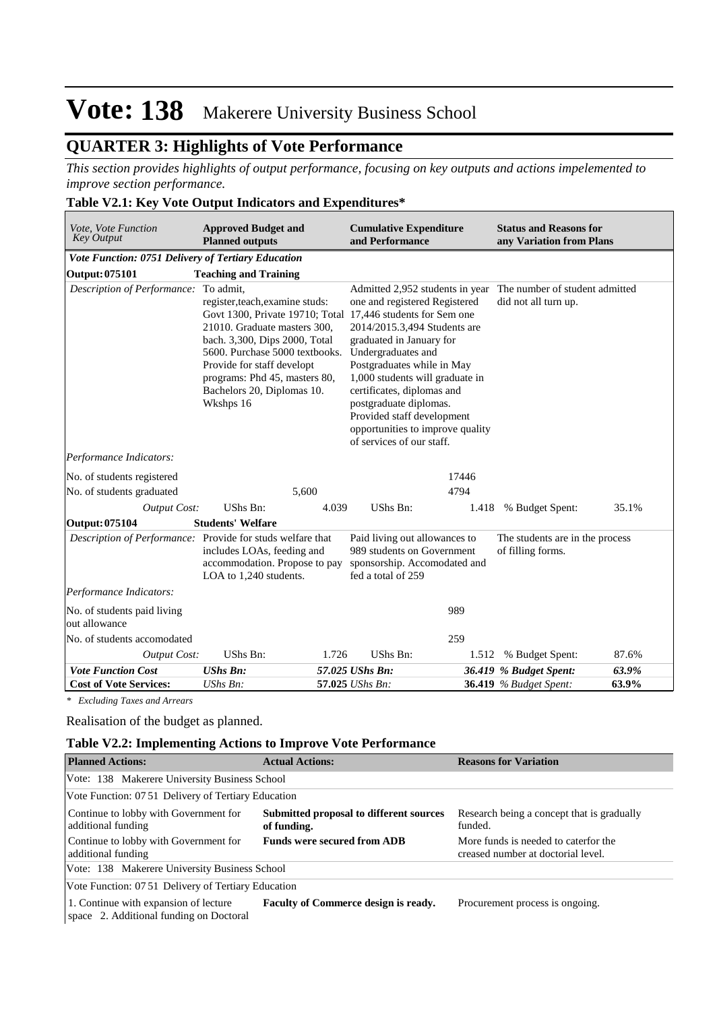# **QUARTER 3: Highlights of Vote Performance**

*This section provides highlights of output performance, focusing on key outputs and actions impelemented to improve section performance.*

#### **Table V2.1: Key Vote Output Indicators and Expenditures\***

| Vote, Vote Function<br><b>Key Output</b>                   | <b>Approved Budget and</b><br><b>Planned outputs</b>                                                                                                                                                                                                                                                        | <b>Cumulative Expenditure</b><br>and Performance                                                                                                                                                                                                                                                                                                                           |       | <b>Status and Reasons for</b><br>any Variation from Plans |       |  |
|------------------------------------------------------------|-------------------------------------------------------------------------------------------------------------------------------------------------------------------------------------------------------------------------------------------------------------------------------------------------------------|----------------------------------------------------------------------------------------------------------------------------------------------------------------------------------------------------------------------------------------------------------------------------------------------------------------------------------------------------------------------------|-------|-----------------------------------------------------------|-------|--|
| Vote Function: 0751 Delivery of Tertiary Education         |                                                                                                                                                                                                                                                                                                             |                                                                                                                                                                                                                                                                                                                                                                            |       |                                                           |       |  |
| Output: 075101                                             | <b>Teaching and Training</b>                                                                                                                                                                                                                                                                                |                                                                                                                                                                                                                                                                                                                                                                            |       |                                                           |       |  |
| Description of Performance: To admit,                      | register, teach, examine studs:<br>Govt 1300, Private 19710; Total 17,446 students for Sem one<br>21010. Graduate masters 300,<br>bach. 3,300, Dips 2000, Total<br>5600. Purchase 5000 textbooks.<br>Provide for staff developt<br>programs: Phd 45, masters 80,<br>Bachelors 20, Diplomas 10.<br>Wkshps 16 | Admitted 2,952 students in year<br>one and registered Registered<br>2014/2015.3,494 Students are<br>graduated in January for<br>Undergraduates and<br>Postgraduates while in May<br>1,000 students will graduate in<br>certificates, diplomas and<br>postgraduate diplomas.<br>Provided staff development<br>opportunities to improve quality<br>of services of our staff. |       | The number of student admitted<br>did not all turn up.    |       |  |
| Performance Indicators:                                    |                                                                                                                                                                                                                                                                                                             |                                                                                                                                                                                                                                                                                                                                                                            |       |                                                           |       |  |
| No. of students registered                                 |                                                                                                                                                                                                                                                                                                             |                                                                                                                                                                                                                                                                                                                                                                            | 17446 |                                                           |       |  |
| No. of students graduated                                  | 5,600                                                                                                                                                                                                                                                                                                       |                                                                                                                                                                                                                                                                                                                                                                            | 4794  |                                                           |       |  |
| <b>Output Cost:</b>                                        | UShs Bn:                                                                                                                                                                                                                                                                                                    | UShs Bn:<br>4.039                                                                                                                                                                                                                                                                                                                                                          | 1.418 | % Budget Spent:                                           | 35.1% |  |
| <b>Output: 075104</b>                                      | <b>Students' Welfare</b>                                                                                                                                                                                                                                                                                    |                                                                                                                                                                                                                                                                                                                                                                            |       |                                                           |       |  |
| Description of Performance: Provide for studs welfare that | includes LOAs, feeding and<br>accommodation. Propose to pay<br>LOA to 1,240 students.                                                                                                                                                                                                                       | Paid living out allowances to<br>989 students on Government<br>sponsorship. Accomodated and<br>fed a total of 259                                                                                                                                                                                                                                                          |       | The students are in the process<br>of filling forms.      |       |  |
| Performance Indicators:                                    |                                                                                                                                                                                                                                                                                                             |                                                                                                                                                                                                                                                                                                                                                                            |       |                                                           |       |  |
| No. of students paid living<br>out allowance               |                                                                                                                                                                                                                                                                                                             |                                                                                                                                                                                                                                                                                                                                                                            | 989   |                                                           |       |  |
| No. of students accomodated                                |                                                                                                                                                                                                                                                                                                             |                                                                                                                                                                                                                                                                                                                                                                            | 259   |                                                           |       |  |
| <b>Output Cost:</b>                                        | UShs Bn:                                                                                                                                                                                                                                                                                                    | UShs Bn:<br>1.726                                                                                                                                                                                                                                                                                                                                                          | 1.512 | % Budget Spent:                                           | 87.6% |  |
| <b>Vote Function Cost</b>                                  | <b>UShs Bn:</b>                                                                                                                                                                                                                                                                                             | 57.025 UShs Bn:                                                                                                                                                                                                                                                                                                                                                            |       | 36.419 % Budget Spent:                                    | 63.9% |  |
| <b>Cost of Vote Services:</b>                              | UShs Bn:                                                                                                                                                                                                                                                                                                    | 57.025 UShs Bn:                                                                                                                                                                                                                                                                                                                                                            |       | <b>36.419</b> % Budget Spent:                             | 63.9% |  |

*\* Excluding Taxes and Arrears*

Realisation of the budget as planned.

#### **Table V2.2: Implementing Actions to Improve Vote Performance**

| <b>Planned Actions:</b>                                                          | <b>Actual Actions:</b>                                 | <b>Reasons for Variation</b>                                               |
|----------------------------------------------------------------------------------|--------------------------------------------------------|----------------------------------------------------------------------------|
| Vote: 138 Makerere University Business School                                    |                                                        |                                                                            |
| Vote Function: 07.51 Delivery of Tertiary Education                              |                                                        |                                                                            |
| Continue to lobby with Government for<br>additional funding                      | Submitted proposal to different sources<br>of funding. | Research being a concept that is gradually<br>funded.                      |
| Continue to lobby with Government for<br>additional funding                      | <b>Funds were secured from ADB</b>                     | More funds is needed to caterfor the<br>creased number at doctorial level. |
| Vote: 138 Makerere University Business School                                    |                                                        |                                                                            |
| Vote Function: 07.51 Delivery of Tertiary Education                              |                                                        |                                                                            |
| 1. Continue with expansion of lecture<br>space 2. Additional funding on Doctoral | <b>Faculty of Commerce design is ready.</b>            | Procurement process is ongoing.                                            |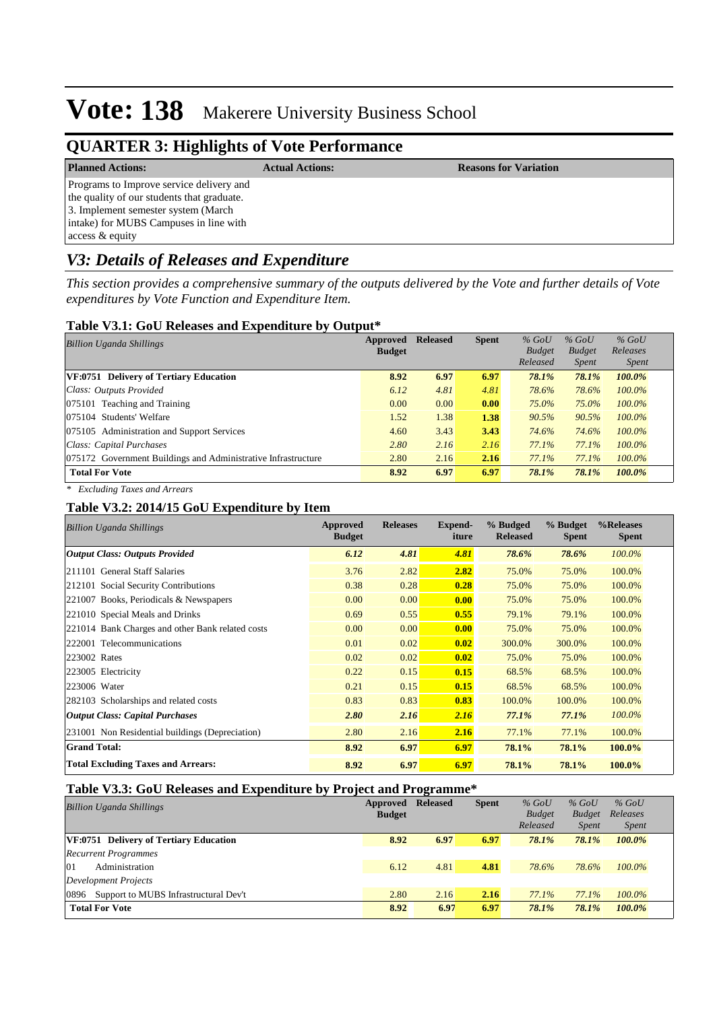### **QUARTER 3: Highlights of Vote Performance**

**Planned Actions: Actual Actions: Reasons for Variation**

Programs to Improve service delivery and the quality of our students that graduate. 3. Implement semester system (March intake) for MUBS Campuses in line with access & equity

### *V3: Details of Releases and Expenditure*

*This section provides a comprehensive summary of the outputs delivered by the Vote and further details of Vote expenditures by Vote Function and Expenditure Item.*

#### **Table V3.1: GoU Releases and Expenditure by Output\***

| Approved<br><b>Billion Uganda Shillings</b>                   |               | <b>Released</b> | <b>Spent</b> | $%$ GoU       | $%$ GoU       | $%$ GoU      |
|---------------------------------------------------------------|---------------|-----------------|--------------|---------------|---------------|--------------|
|                                                               | <b>Budget</b> |                 |              | <b>Budget</b> | <b>Budget</b> | Releases     |
|                                                               |               |                 |              | Released      | <i>Spent</i>  | <i>Spent</i> |
| <b>VF:0751 Delivery of Tertiary Education</b>                 | 8.92          | 6.97            | 6.97         | 78.1%         | 78.1%         | 100.0%       |
| Class: Outputs Provided                                       | 6.12          | 4.81            | 4.81         | 78.6%         | 78.6%         | $100.0\%$    |
| 075101 Teaching and Training                                  | 0.00          | 0.00            | 0.00         | 75.0%         | 75.0%         | 100.0%       |
| 075104 Students' Welfare                                      | 1.52          | 1.38            | 1.38         | 90.5%         | 90.5%         | $100.0\%$    |
| 075105 Administration and Support Services                    | 4.60          | 3.43            | 3.43         | 74.6%         | 74.6%         | $100.0\%$    |
| Class: Capital Purchases                                      |               | 2.16            | 2.16         | 77.1%         | 77.1%         | $100.0\%$    |
| 075172 Government Buildings and Administrative Infrastructure | 2.80          | 2.16            | 2.16         | 77.1%         | 77.1%         | $100.0\%$    |
| <b>Total For Vote</b>                                         | 8.92          | 6.97            | 6.97         | 78.1%         | 78.1%         | 100.0%       |

*\* Excluding Taxes and Arrears*

#### **Table V3.2: 2014/15 GoU Expenditure by Item**

| <b>Billion Uganda Shillings</b>                  | <b>Approved</b><br><b>Budget</b> | <b>Releases</b> | <b>Expend-</b><br>iture | % Budged<br><b>Released</b> | % Budget<br><b>Spent</b> | %Releases<br><b>Spent</b> |
|--------------------------------------------------|----------------------------------|-----------------|-------------------------|-----------------------------|--------------------------|---------------------------|
| <b>Output Class: Outputs Provided</b>            | 6.12                             | 4.81            | 4.81                    | 78.6%                       | 78.6%                    | 100.0%                    |
| 211101 General Staff Salaries                    | 3.76                             | 2.82            | 2.82                    | 75.0%                       | 75.0%                    | 100.0%                    |
| 212101 Social Security Contributions             | 0.38                             | 0.28            | 0.28                    | 75.0%                       | 75.0%                    | 100.0%                    |
| 221007 Books, Periodicals & Newspapers           | 0.00                             | 0.00            | 0.00                    | 75.0%                       | 75.0%                    | 100.0%                    |
| 221010 Special Meals and Drinks                  | 0.69                             | 0.55            | 0.55                    | 79.1%                       | 79.1%                    | 100.0%                    |
| 221014 Bank Charges and other Bank related costs | 0.00                             | 0.00            | 0.00                    | 75.0%                       | 75.0%                    | 100.0%                    |
| 222001 Telecommunications                        | 0.01                             | 0.02            | 0.02                    | 300.0%                      | 300.0%                   | 100.0%                    |
| 223002 Rates                                     | 0.02                             | 0.02            | 0.02                    | 75.0%                       | 75.0%                    | 100.0%                    |
| 223005 Electricity                               | 0.22                             | 0.15            | 0.15                    | 68.5%                       | 68.5%                    | 100.0%                    |
| 223006 Water                                     | 0.21                             | 0.15            | 0.15                    | 68.5%                       | 68.5%                    | 100.0%                    |
| 282103 Scholarships and related costs            | 0.83                             | 0.83            | 0.83                    | 100.0%                      | 100.0%                   | 100.0%                    |
| <b>Output Class: Capital Purchases</b>           | 2.80                             | 2.16            | 2.16                    | 77.1%                       | 77.1%                    | 100.0%                    |
| 231001 Non Residential buildings (Depreciation)  | 2.80                             | 2.16            | 2.16                    | 77.1%                       | 77.1%                    | 100.0%                    |
| <b>Grand Total:</b>                              | 8.92                             | 6.97            | 6.97                    | 78.1%                       | 78.1%                    | 100.0%                    |
| <b>Total Excluding Taxes and Arrears:</b>        | 8.92                             | 6.97            | 6.97                    | 78.1%                       | 78.1%                    | 100.0%                    |

#### **Table V3.3: GoU Releases and Expenditure by Project and Programme\***

| <b>Billion Uganda Shillings</b>               | <b>Approved Released</b><br><b>Budget</b> |      | <b>Spent</b> | $%$ GoU<br><b>Budget</b><br>Released | $%$ GoU<br><b>Budget</b><br><i>Spent</i> | $%$ GoU<br>Releases<br><i>Spent</i> |
|-----------------------------------------------|-------------------------------------------|------|--------------|--------------------------------------|------------------------------------------|-------------------------------------|
| <b>VF:0751 Delivery of Tertiary Education</b> | 8.92                                      | 6.97 | 6.97         | 78.1%                                | 78.1%                                    | 100.0%                              |
| <b>Recurrent Programmes</b>                   |                                           |      |              |                                      |                                          |                                     |
| 01<br>Administration                          | 6.12                                      | 4.81 | 4.81         | 78.6%                                | 78.6%                                    | $100.0\%$                           |
| Development Projects                          |                                           |      |              |                                      |                                          |                                     |
| 0896 Support to MUBS Infrastructural Dev't    | 2.80                                      | 2.16 | 2.16         | 77.1%                                | $77.1\%$                                 | $100.0\%$                           |
| <b>Total For Vote</b>                         | 8.92                                      | 6.97 | 6.97         | 78.1%                                | 78.1%                                    | $100.0\%$                           |